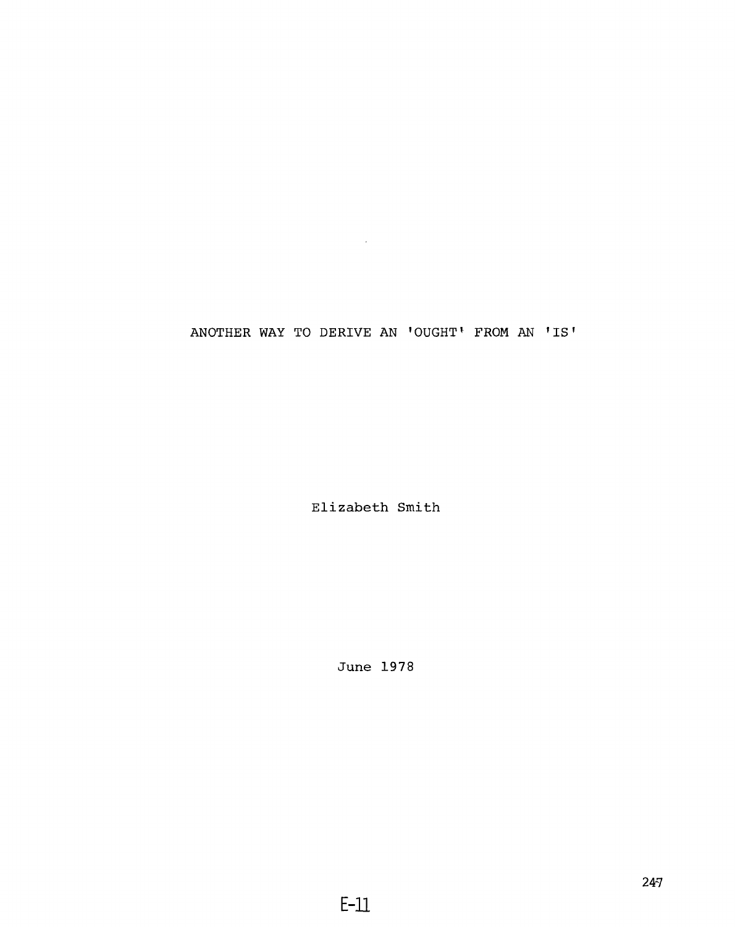# **ANOTHER WAY TO DERIVE AN 'OUGHT1 FROM AN 'IS'**

 $\mathcal{L}^{\text{max}}_{\text{max}}$  ,  $\mathcal{L}^{\text{max}}_{\text{max}}$ 

**Elizabeth Smith**

**June 1978**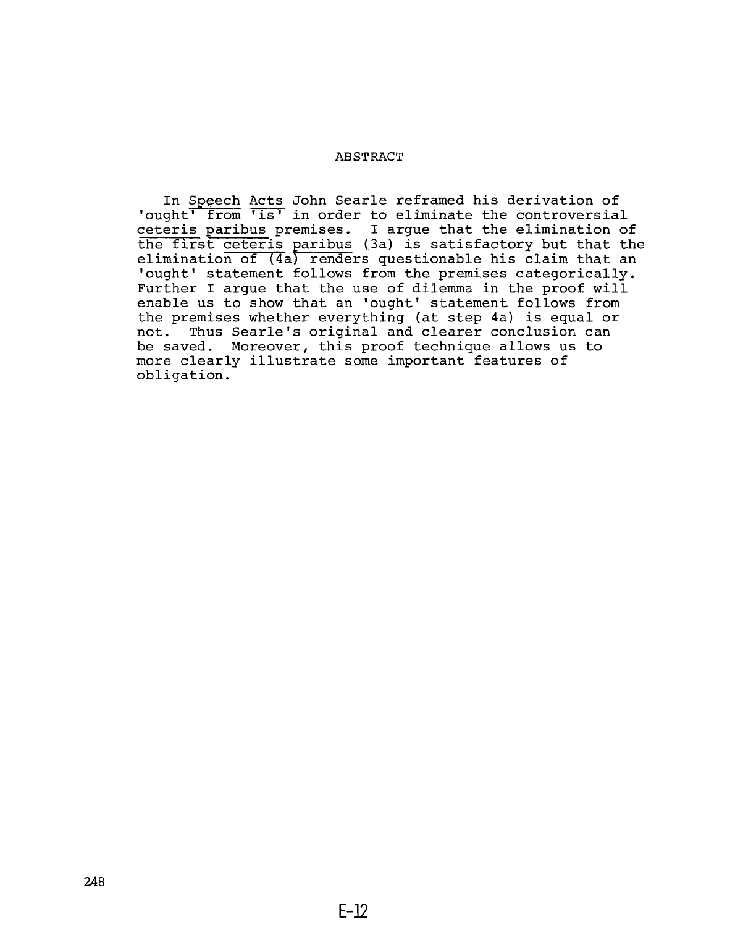## **ABSTRACT**

**In Speech Acts John Searle reframed his derivation of 'ought' from 'is' in order to eliminate the controversial ceteris paribus premises. I argue that the elimination of the first ceteris paribus (3a) is satisfactory but that the elimination of (4a) renders questionable his claim that an 'ought' statement follows from the premises categorically. Further I argue that the use of dilemma in the proof will enable us to show that an 'ought' statement follows from the premises whether everything (at step 4a) is equal or not. Thus Searle's original and clearer conclusion can be saved. Moreover, this proof technique allows us to more clearly illustrate some important features of obligation.**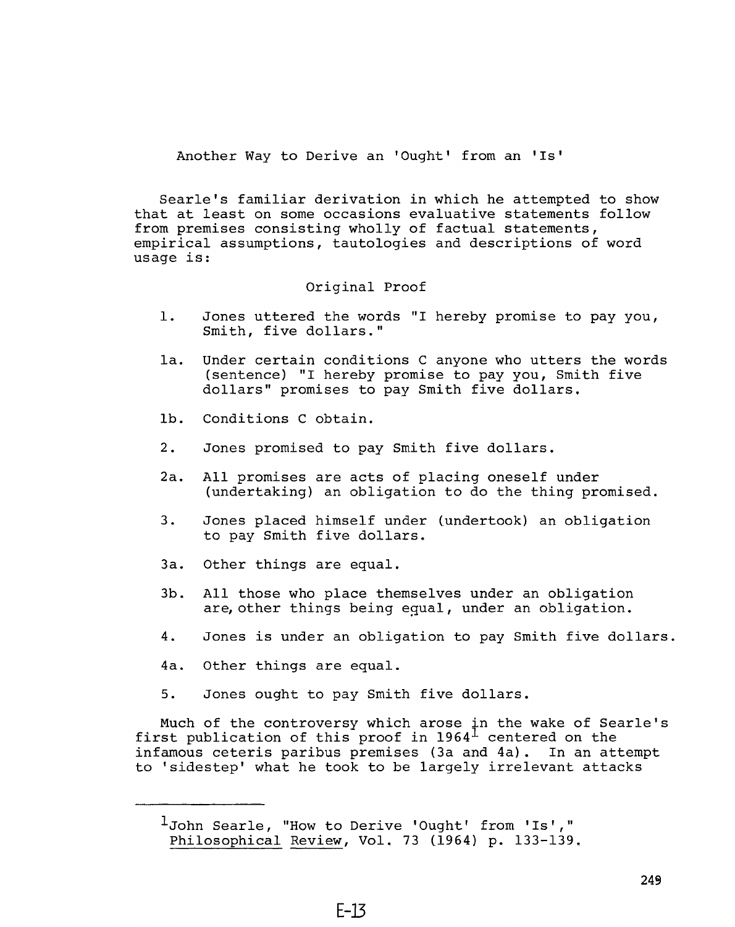**Another Way to Derive an 'Ought' from an 'Is'**

**Searle's familiar derivation in which he attempted to show that at least on some occasions evaluative statements follow from premises consisting wholly of factual statements, empirical assumptions, tautologies and descriptions of word usage is:**

# **Original Proof**

- **1. Jones uttered the words "I hereby promise to pay you, Smith, five dollars."**
- **la. Under certain conditions C anyone who utters the words (sentence) "I hereby promise to pay you, Smith five dollars" promises to pay Smith five dollars.**
- **lb. Conditions C obtain.**
- **2. Jones promised to pay Smith five dollars.**
- **2a. All promises are acts of placing oneself under (undertaking) an obligation to do the thing promised.**
- **3. Jones placed himself under (undertook) an obligation to pay Smith five dollars.**
- **3a. Other things are equal.**
- **3b. All those who place themselves under an obligation are, other things being equal, under an obligation.**
- **4. Jones is under an obligation to pay Smith five dollars.**
- **4a. Other things are equal.**
- **5. Jones ought to pay Smith five dollars.**

**Much of the controversy which arose in the wake of Searle's first publication of this proof in 1964^ centered on the infamous ceteris paribus premises (3a and 4a). In an attempt to 'sidestep' what he took to be largely irrelevant attacks**

**Ijohn Searle, "How to Derive 'Ought' from 'Is'," Philosophical Review, Vol. 73 (1964) p. 133-139.**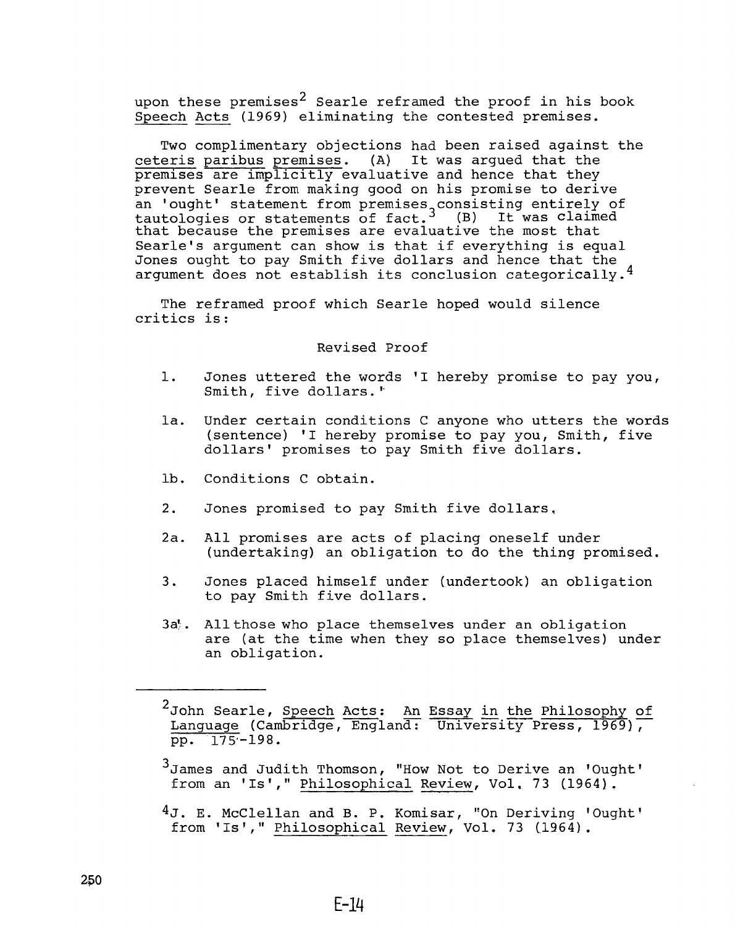**upon these premises^ Searle reframed the proof in his book Speech Acts (1969) eliminating the contested premises.**

**Two complimentary objections had been raised against the ceteris paribus premises. (A) It was argued that the premises are implicitly evaluative and hence that they prevent Searle from making good on his promise to derive an 'ought' statement from premises consisting entirely of tautologies or statements of fact. (B) It was claimed that because the premises are evaluative the most that Searle's argument can show is that if everything is equal Jones ought to pay Smith five dollars and hence that the argument does not establish its conclusion categorically.^**

**The reframed proof which Searle hoped would silence critics is :**

## **Revised Proof**

- **1. Jones uttered the words 'I hereby promise to pay you, Smith, five dollars.''**
- **la. Under certain conditions C anyone who utters the words (sentence) 'I hereby promise to pay you, Smith, five dollars' promises to pay Smith five dollars.**
- **lb. Conditions C obtain.**
- **2. Jones promised to pay Smith five dollars,**
- **2a. All promises are acts of placing oneself under (undertaking) an obligation to do the thing promised,**
- **3. Jones placed himself under (undertook) an obligation to pay Smith five dollars.**
- **3a}. All those who place themselves under an obligation are (at the time when they so place themselves) under an obligation.**

**4j. E. McClellan and B, P. Komisar, "On Deriving 'Ought' from 'Is'," Philosophical Review, Vol, 73 (1964).**

**<sup>2</sup> John Searle, Speech Acts : An Essay in the Philosophy of Language (Cambridge, England: University Press, 1969), pp. 175-198.**

**<sup>•3</sup> James and Judith Thomson, "How Not to Derive an 'Ought'** from an 'Is'," Philosophical Review, Vol. 73 (1964).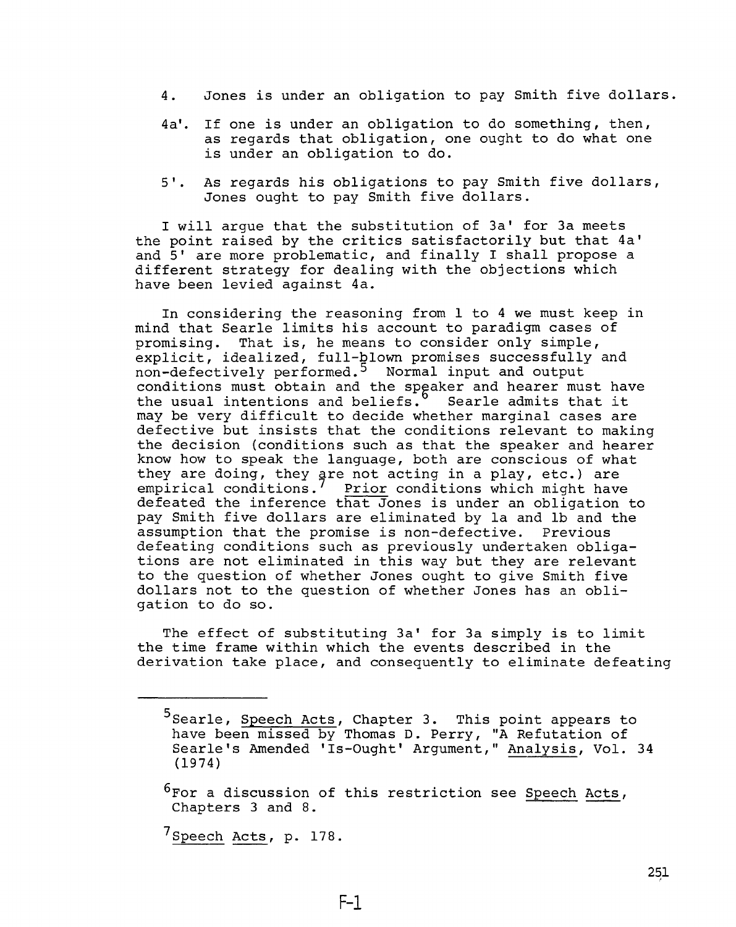- **4. Jones is under an obligation to pay Smith five dollars.**
- **4a'. If one is under an obligation to do something, then, as regards that obligation, one ought to do what one is under an obligation to do.**
- **5'. As regards his obligations to pay Smith five dollars, Jones ought to pay Smith five dollars.**

**I will argue that the substitution of 3a' for 3a meets the point raised by the critics satisfactorily but that 4a' and 5' are more problematic, and finally I shall propose a different strategy for dealing with the objections which have been levied against 4a.**

**In considering the reasoning from 1 to 4 we must keep in mind that Searle limits his account to paradigm cases of promising. That is, he means to consider only simple, explicit, idealized, full-blown promises successfully and non-defectively performed.^ Normal input and output conditions must obtain and the speaker and hearer must have the usual intentions and beliefs. Searle admits that it may be very difficult to decide whether marginal cases are defective but insists that the conditions relevant to making the decision (conditions such as that the speaker and hearer know how to speak the language, both are conscious of what they are doing, they are not acting in a play, etc.) are empirical conditions. Prior conditions which might have defeated the inference that Jones is under an obligation to pay Smith five dollars are eliminated by la and lb and the assumption that the promise is non-defective. Previous defeating conditions such as previously undertaken obligations are not eliminated in this way but they are relevant to the question of whether Jones ought to give Smith five dollars not to the question of whether Jones has an obligation to do so.**

**The effect of substituting 3a' for 3a simply is to limit the time frame within which the events described in the derivation take place, and consequently to eliminate defeating**

**F-l**

**^Speech Acts, p. 178.**

**<sup>5</sup> Searle, Speech Acts, Chapter 3. This point appears to have been missed by Thomas D. Perry, "A Refutation of Searle's Amended 'Is-Ought' Argument," Analysis, Vol. 34 (1974)**

**<sup>^</sup>For a discussion of this restriction see Speech Acts, Chapters 3 and 8.**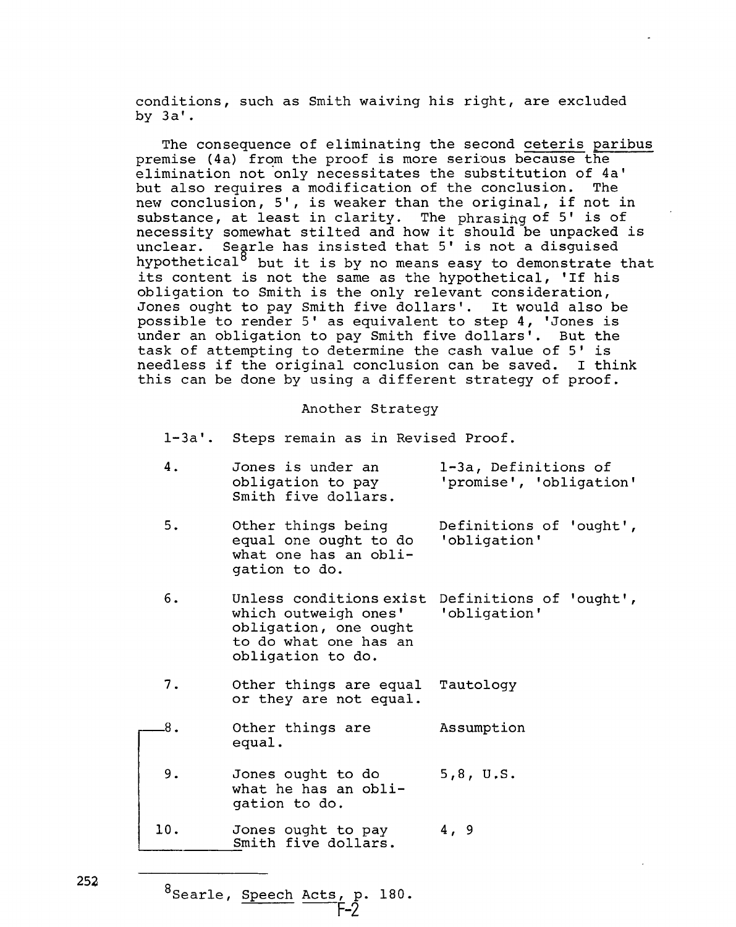**conditions, such as Smith waiving his right, are excluded by 3a'.**

**The consequence of eliminating the second ceteris paribus premise (4a) from the proof is more serious because the elimination not only necessitates the substitution of 4a' but also requires a modification of the conclusion. The new conclusion, 5', is weaker than the original, if not in substance, at least in clarity. The phrasing of 5' is of necessity somewhat stilted and how it should be unpacked is unclear. Searle has insisted that 5' is not a disguised hypothetical® but it is by no means easy to demonstrate that its content is not the same as the hypothetical, 'If his obligation to Smith is the only relevant consideration, Jones ought to pay Smith five dollars'. It would also be possible to render 5' as equivalent to step 4, 'Jones is under an obligation to pay Smith five dollars'. But the task of attempting to determine the cash value of 5 ' is needless if the original conclusion can be saved. I think this can be done by using a different strategy of proof.**

#### **Another Strategy**

**4. 5. 6. 7. -8. 9. 10**. **Jones is under an obligation to pay Smith five dollars. Other things being equal one ought to do what one has an obligation to do. Unless conditions exist which outweigh ones' obligation, one ought to do what one has an obligation to do. Other things are equal or they are not equal. Other things are equal. Jones ought to do what he has an obligation to do. Jones ought to pay l-3a, Definitions of 'promise', 'obligation' Definitions of 'ought', 'obligation' Definitions of 'ought', 'obligation' Tautology Assumption 5,8, U.S. 4, 9**

**^Searle, Speech Acts, p. P-2 180.**

**Smith five dollars.**

**l-3a ' Steps remain as in Revised Proof.**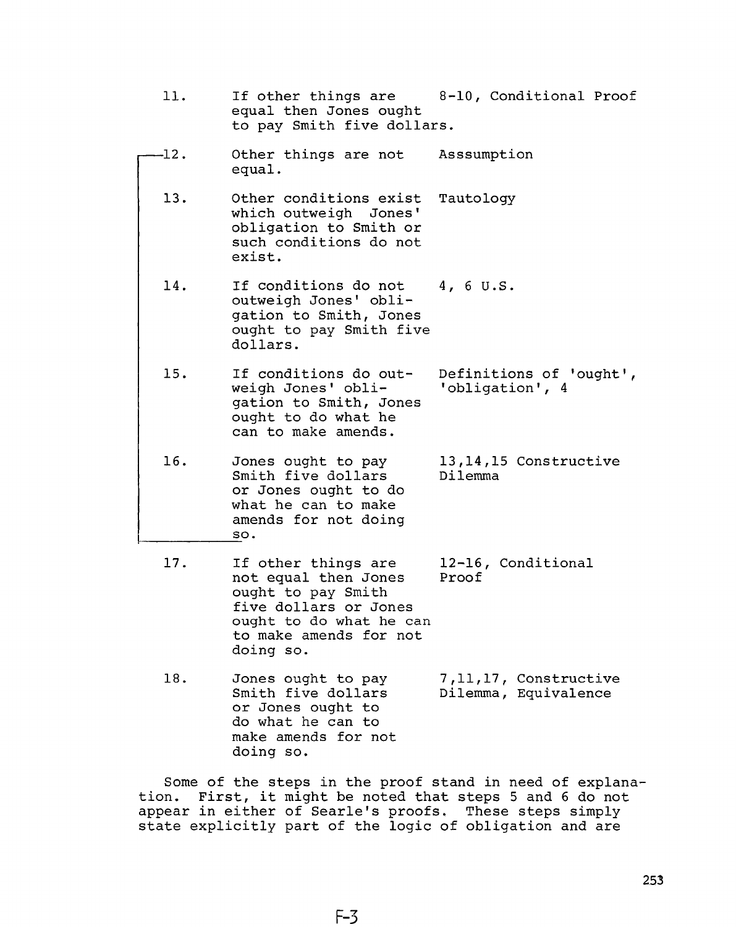- **11. If other things are 8-10, Conditional Proof equal then Jones ought to pay Smith five dollars. -12. Other things are not Asssumption equal. 13. Other conditions exist Tautology which outweigh Jones' obligation to Smith or such conditions do not exist. 14. If conditions do not 4, 6 U.S. outweigh Jones' obligation to Smith, Jones ought to pay Smith five dollars. 15. If conditions do outweigh Jones' obligation to Smith, Jones ought to do what he can to make amends. 16. Jones ought to pay Smith five dollars or Jones ought to do what he can to make amends for not doing so. 17. If other things are not equal then Jones ought to pay Smith five dollars or Jones ought to do what he can to make amends for not doing so. Definitions of 'ought', 'obligation', 4 13,14,15 Constructive Dilemma 12-16, Conditional Proof**
	- **18. Jones ought to pay Smith five dollars or Jones ought to do what he can to make amends for not doing so. 7,11,17, Constructive Dilemma, Equivalence**

**Some of the steps in the proof stand in need of explanation. First, it might be noted that steps 5 and 6 do not appear in either of Searle's proofs. These steps simply state explicitly part of the logic of obligation and are**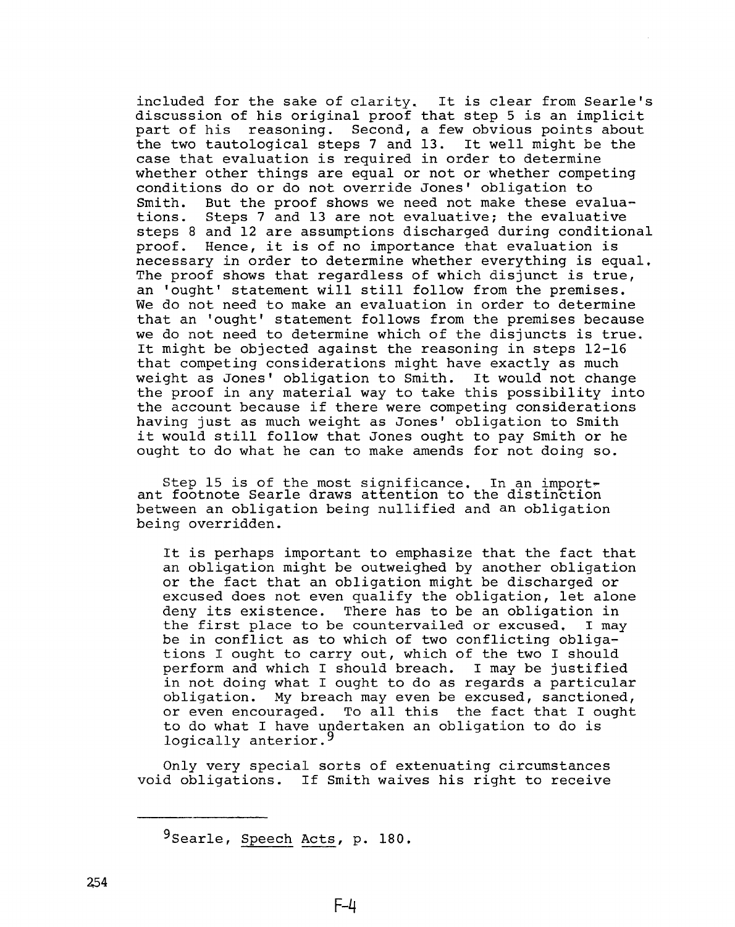**included for the sake of clarity. It is clear from Searle's discussion of his original proof that step 5 is an implicit part of his reasoning. Second, a few obvious points about the two tautological steps 7 and 13. It well might be the case that evaluation is required in order to determine whether other things are equal or not or whether competing conditions do or do not override Jones' obligation to** Smith. But the proof shows we need not make these evalua-<br>tions. Steps 7 and 13 are not evaluative; the evaluative **tions. Steps 7 and 13 are not evaluative; the evaluative steps 8 and 12 are assumptions discharged during conditional proof. Hence, it is of no importance that evaluation is necessary in order to determine whether everything is equal. The proof shows that regardless of which disjunct is true, an 'ought' statement will still follow from the premises. We do not need to make an evaluation in order to determine that an 'ought' statement follows from the premises because we do not need to determine which of the disjuncts is true. It might be objected against the reasoning in steps 12-16 that competing considerations might have exactly as much weight as Jones' obligation to Smith. It would not change the proof in any material way to take this possibility into the account because if there were competing considerations having just as much weight as Jones' obligation to Smith it would still follow that Jones ought to pay Smith or he ought to do what he can to make amends for not doing so.**

**Step 15 is of the most significance. In an import? ant footnote Searle draws attention to the distinction between an obligation being nullified and an obligation being overridden.**

**It is perhaps important to emphasize that the fact that an obligation might be outweighed by another obligation or the fact that an obligation might be discharged or excused does not even qualify the obligation, let alone deny its existence. There has to be an obligation in the first place to be countervailed or excused, I may be in conflict as to which of two conflicting obligations I ought to carry out, which of the two I should perform and which I should breach. I may be justified in not doing what I ought to do as regards a particular obligation. My breach may even be excused, sanctioned,** To all this the fact that I ought **to do what I have undertaken an obligation to do is logically anterior.^**

**Only very special sorts of extenuating circumstances void obligations. If Smith waives his right to receive**

**<sup>^</sup>Searle, Speech Acts, p. 180.**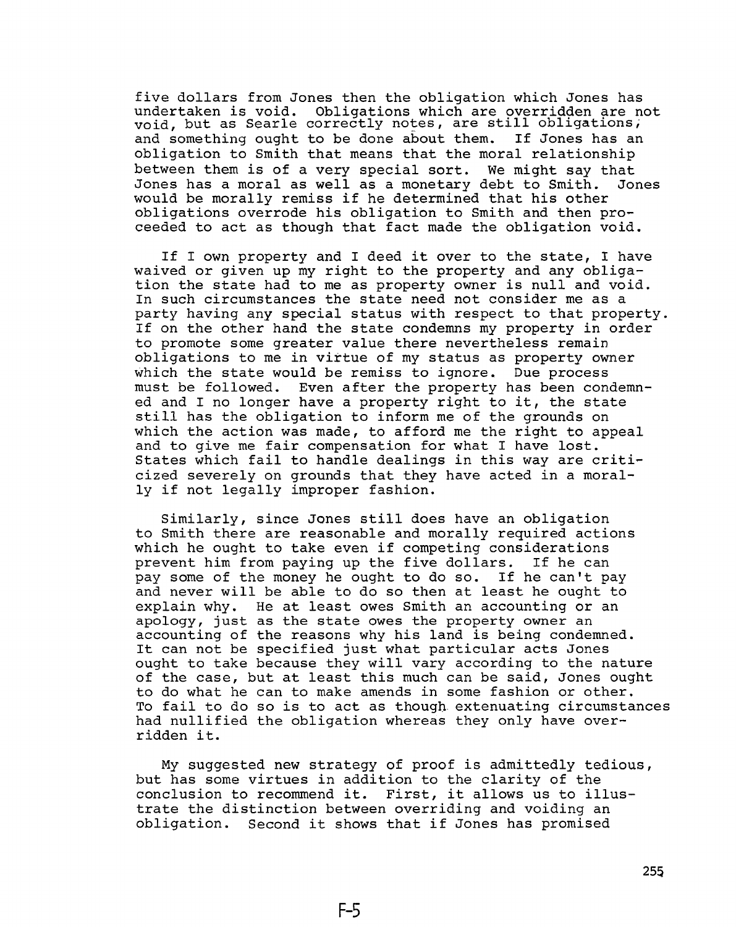**five dollars from Jones then the obligation which Jones has undertaken is void. Obligations which are overridden are not void, but as Searle correctly notes, are still obligations, and something ought to be done about them. If Jones has an obligation to Smith that means that the moral relationship between them is of a very special sort. We might say that Jones has a moral as well as a monetary debt to Smith. Jones would be morally remiss if he determined that his other obligations overrode his obligation to Smith and then proceeded to act as though that fact made the obligation void.**

**If I own property and I deed it over to the state, I have waived or given up my right to the property and any obligation the state had to me as property owner is null and void. In such circumstances the state need not consider me as a party having any special status with respect to that property. If on the other hand the state condemns my property in order to promote some greater value there nevertheless remain obligations to me in virtue of my status as property owner which the state would be remiss to ignore. Due process must be followed. Even after the property has been condemned and I no longer have a property right to it, the state still has the obligation to inform me of the grounds on which the action was made, to afford me the right to appeal and to give me fair compensation for what I have lost. States which fail to handle dealings in this way are criticized severely on grounds that they have acted in a morally if not legally improper fashion.**

**Similarly, since Jones still does have an obligation to Smith there are reasonable and morally required actions which he ought to take even if competing considerations prevent him from paying up the five dollars. If he can pay some of the money he ought to do so. If he can't pay and never will be able to do so then at least he ought to explain why. He at least owes Smith an accounting or an apology, just as the state owes the property owner an accounting of the reasons why his land is being condemned. It can not be specified just what particular acts Jones ought to take because they will vary according to the nature of the case, but at least this much can be said, Jones ought to do what he can to make amends in some fashion or other. To fail to do so is to act as though extenuating circumstances had nullified the obligation whereas they only have overridden it.**

**My suggested new strategy of proof is admittedly tedious, but has some virtues in addition to the clarity of the conclusion to recommend it. First, it allows us to illustrate the distinction between overriding and voiding an obligation. Second it shows that if Jones has promised**